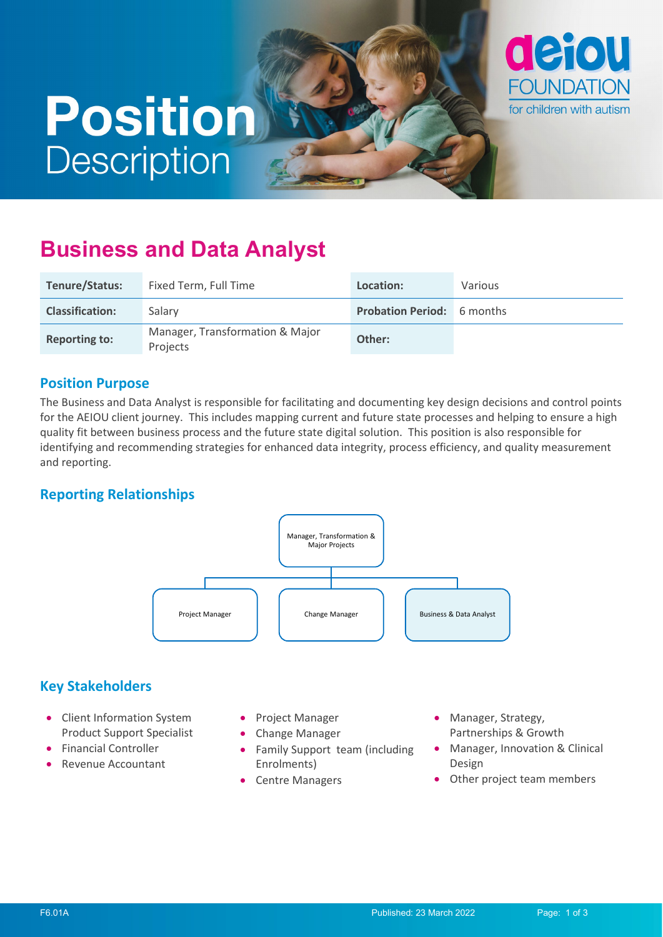# **Position Description**



# **Business and Data Analyst**

| <b>Tenure/Status:</b>  | Fixed Term, Full Time                       | Location:                         | Various |
|------------------------|---------------------------------------------|-----------------------------------|---------|
| <b>Classification:</b> | Salary                                      | <b>Probation Period:</b> 6 months |         |
| <b>Reporting to:</b>   | Manager, Transformation & Major<br>Projects | Other:                            |         |

#### **Position Purpose**

The Business and Data Analyst is responsible for facilitating and documenting key design decisions and control points for the AEIOU client journey. This includes mapping current and future state processes and helping to ensure a high quality fit between business process and the future state digital solution. This position is also responsible for identifying and recommending strategies for enhanced data integrity, process efficiency, and quality measurement and reporting.

# **Reporting Relationships**



# **Key Stakeholders**

- Client Information System Product Support Specialist
- Financial Controller
- Revenue Accountant
- Project Manager
- Change Manager
- Family Support team (including Enrolments)
- Centre Managers
- Manager, Strategy, Partnerships & Growth
- Manager, Innovation & Clinical Design
- Other project team members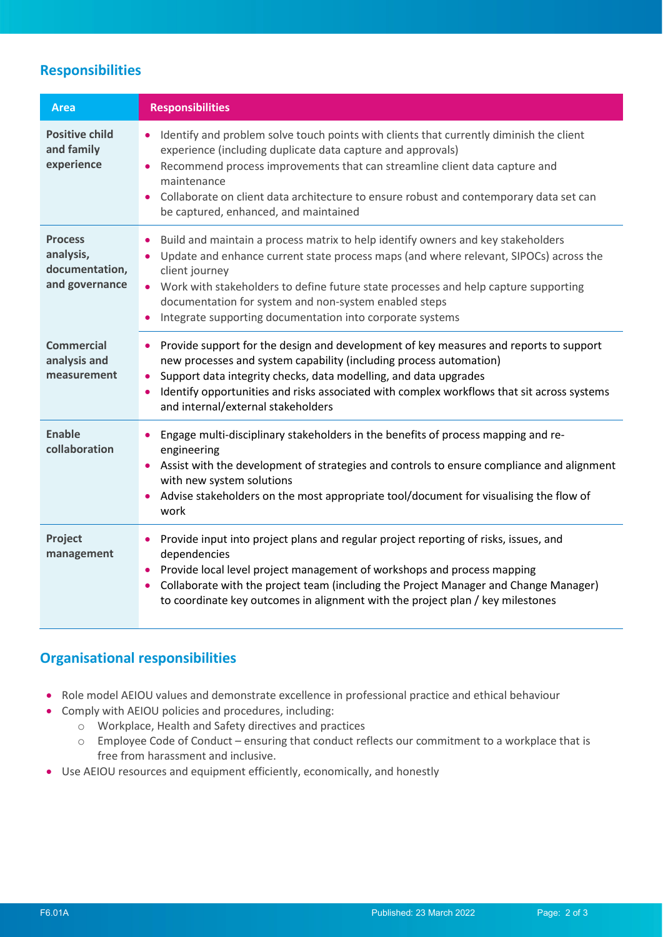# **Responsibilities**

| <b>Area</b>                                                     | <b>Responsibilities</b>                                                                                                                                                                                                                                                                                                                                                                                    |
|-----------------------------------------------------------------|------------------------------------------------------------------------------------------------------------------------------------------------------------------------------------------------------------------------------------------------------------------------------------------------------------------------------------------------------------------------------------------------------------|
| <b>Positive child</b><br>and family<br>experience               | Identify and problem solve touch points with clients that currently diminish the client<br>experience (including duplicate data capture and approvals)<br>Recommend process improvements that can streamline client data capture and<br>maintenance<br>Collaborate on client data architecture to ensure robust and contemporary data set can<br>be captured, enhanced, and maintained                     |
| <b>Process</b><br>analysis,<br>documentation,<br>and governance | Build and maintain a process matrix to help identify owners and key stakeholders<br>Update and enhance current state process maps (and where relevant, SIPOCs) across the<br>client journey<br>• Work with stakeholders to define future state processes and help capture supporting<br>documentation for system and non-system enabled steps<br>Integrate supporting documentation into corporate systems |
| <b>Commercial</b><br>analysis and<br>measurement                | Provide support for the design and development of key measures and reports to support<br>$\bullet$<br>new processes and system capability (including process automation)<br>Support data integrity checks, data modelling, and data upgrades<br>$\bullet$<br>Identify opportunities and risks associated with complex workflows that sit across systems<br>$\bullet$<br>and internal/external stakeholders |
| <b>Enable</b><br>collaboration                                  | Engage multi-disciplinary stakeholders in the benefits of process mapping and re-<br>engineering<br>Assist with the development of strategies and controls to ensure compliance and alignment<br>with new system solutions<br>Advise stakeholders on the most appropriate tool/document for visualising the flow of<br>work                                                                                |
| Project<br>management                                           | Provide input into project plans and regular project reporting of risks, issues, and<br>dependencies<br>Provide local level project management of workshops and process mapping<br>Collaborate with the project team (including the Project Manager and Change Manager)<br>to coordinate key outcomes in alignment with the project plan / key milestones                                                  |

#### **Organisational responsibilities**

- Role model AEIOU values and demonstrate excellence in professional practice and ethical behaviour
- Comply with AEIOU policies and procedures, including:
	- o Workplace, Health and Safety directives and practices
	- o Employee Code of Conduct ensuring that conduct reflects our commitment to a workplace that is free from harassment and inclusive.
- Use AEIOU resources and equipment efficiently, economically, and honestly